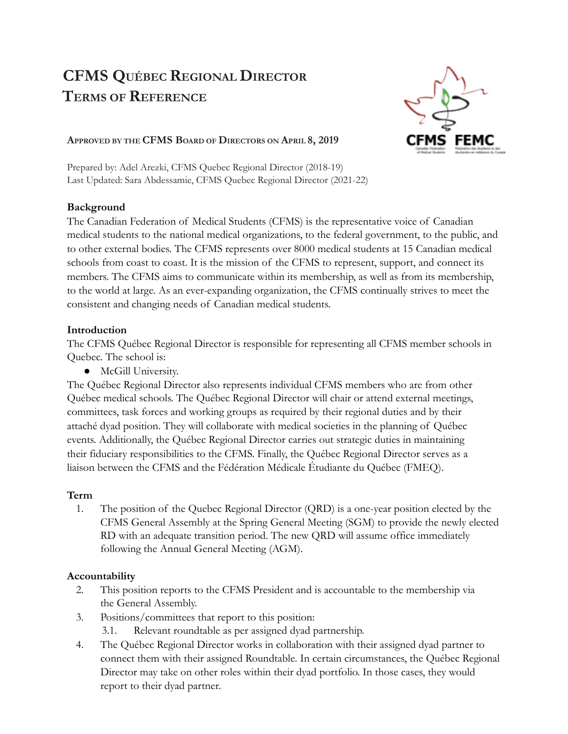# **CFMS QUÉBEC REGIONAL DIRECTOR TERMS OF REFERENCE**



#### **APPROVED BY THE CFMS BOARD OF DIRECTORS ON APRIL 8, 2019**

Prepared by: Adel Arezki, CFMS Quebec Regional Director (2018-19) Last Updated: Sara Abdessamie, CFMS Quebec Regional Director (2021-22)

### **Background**

The Canadian Federation of Medical Students (CFMS) is the representative voice of Canadian medical students to the national medical organizations, to the federal government, to the public, and to other external bodies. The CFMS represents over 8000 medical students at 15 Canadian medical schools from coast to coast. It is the mission of the CFMS to represent, support, and connect its members. The CFMS aims to communicate within its membership, as well as from its membership, to the world at large. As an ever-expanding organization, the CFMS continually strives to meet the consistent and changing needs of Canadian medical students.

### **Introduction**

The CFMS Québec Regional Director is responsible for representing all CFMS member schools in Quebec. The school is:

● McGill University.

The Québec Regional Director also represents individual CFMS members who are from other Québec medical schools. The Québec Regional Director will chair or attend external meetings, committees, task forces and working groups as required by their regional duties and by their attaché dyad position. They will collaborate with medical societies in the planning of Québec events. Additionally, the Québec Regional Director carries out strategic duties in maintaining their fiduciary responsibilities to the CFMS. Finally, the Québec Regional Director serves as a liaison between the CFMS and the Fédération Médicale Étudiante du Québec (FMEQ).

## **Term**

1. The position of the Quebec Regional Director (QRD) is a one-year position elected by the CFMS General Assembly at the Spring General Meeting (SGM) to provide the newly elected RD with an adequate transition period. The new QRD will assume office immediately following the Annual General Meeting (AGM).

#### **Accountability**

- 2. This position reports to the CFMS President and is accountable to the membership via the General Assembly.
- 3. Positions/committees that report to this position:
	- 3.1. Relevant roundtable as per assigned dyad partnership.
- 4. The Québec Regional Director works in collaboration with their assigned dyad partner to connect them with their assigned Roundtable. In certain circumstances, the Québec Regional Director may take on other roles within their dyad portfolio. In those cases, they would report to their dyad partner.